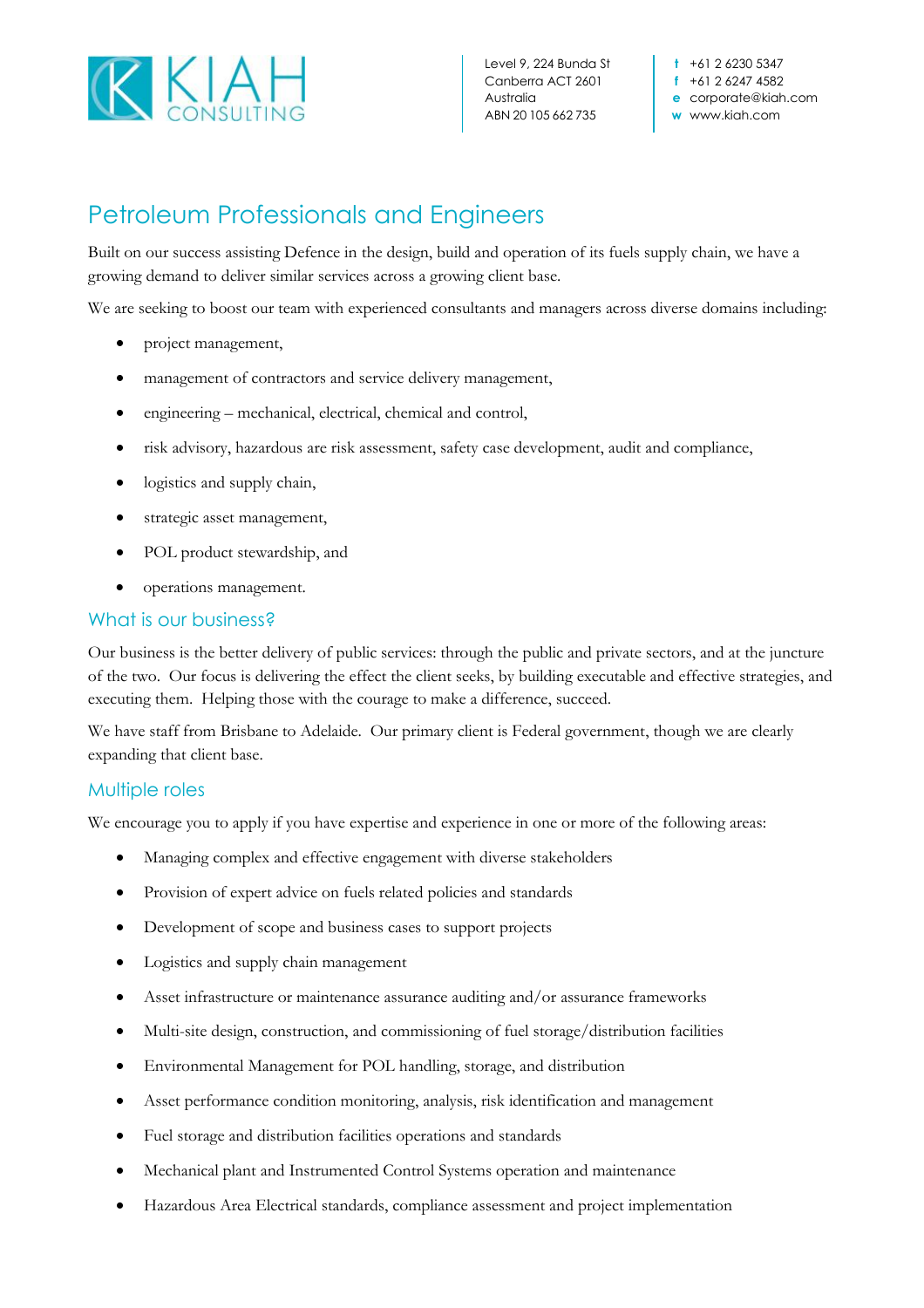

Level 9, 224 Bunda St Canberra ACT 2601 Australia ABN 20 105 662 735

**t** +61 2 6230 5347 **f** +61 2 6247 4582 **e** corporate@kiah.com **w** www.kiah.com

## Petroleum Professionals and Engineers

Built on our success assisting Defence in the design, build and operation of its fuels supply chain, we have a growing demand to deliver similar services across a growing client base.

We are seeking to boost our team with experienced consultants and managers across diverse domains including:

- project management,
- management of contractors and service delivery management,
- engineering mechanical, electrical, chemical and control,
- risk advisory, hazardous are risk assessment, safety case development, audit and compliance,
- logistics and supply chain,
- strategic asset management,
- POL product stewardship, and
- operations management.

## What is our business?

Our business is the better delivery of public services: through the public and private sectors, and at the juncture of the two. Our focus is delivering the effect the client seeks, by building executable and effective strategies, and executing them. Helping those with the courage to make a difference, succeed.

We have staff from Brisbane to Adelaide. Our primary client is Federal government, though we are clearly expanding that client base.

## Multiple roles

We encourage you to apply if you have expertise and experience in one or more of the following areas:

- Managing complex and effective engagement with diverse stakeholders
- Provision of expert advice on fuels related policies and standards
- Development of scope and business cases to support projects
- Logistics and supply chain management
- Asset infrastructure or maintenance assurance auditing and/or assurance frameworks
- Multi-site design, construction, and commissioning of fuel storage/distribution facilities
- Environmental Management for POL handling, storage, and distribution
- Asset performance condition monitoring, analysis, risk identification and management
- Fuel storage and distribution facilities operations and standards
- Mechanical plant and Instrumented Control Systems operation and maintenance
- Hazardous Area Electrical standards, compliance assessment and project implementation